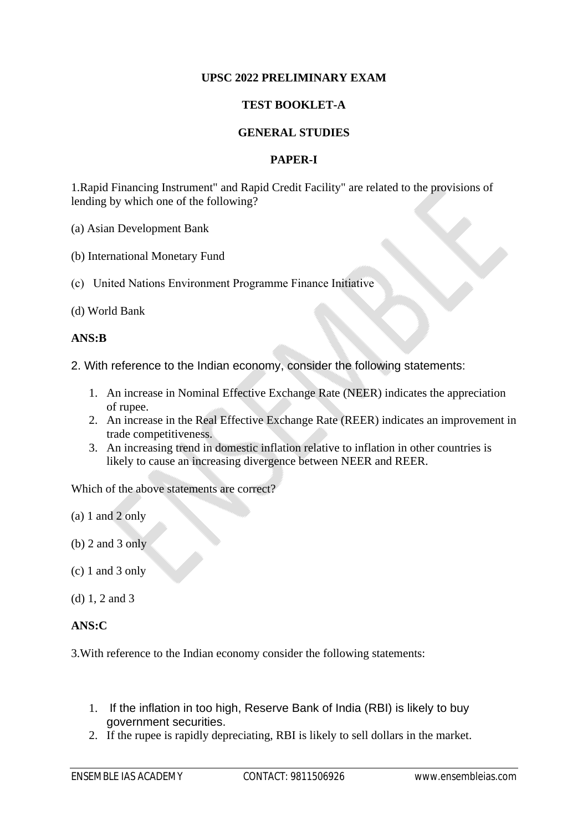## **UPSC 2022 PRELIMINARY EXAM**

## **TEST BOOKLET-A**

## **GENERAL STUDIES**

## **PAPER-I**

1.Rapid Financing Instrument" and Rapid Credit Facility" are related to the provisions of lending by which one of the following?

(a) Asian Development Bank

- (b) International Monetary Fund
- (c) United Nations Environment Programme Finance Initiative
- (d) World Bank

#### **ANS:B**

- 2. With reference to the Indian economy, consider the following statements:
	- 1. An increase in Nominal Effective Exchange Rate (NEER) indicates the appreciation of rupee.
	- 2. An increase in the Real Effective Exchange Rate (REER) indicates an improvement in trade competitiveness.
	- 3. An increasing trend in domestic inflation relative to inflation in other countries is likely to cause an increasing divergence between NEER and REER.

Which of the above statements are correct?

- (a) 1 and 2 only
- (b) 2 and 3 only
- (c) 1 and 3 only
- (d) 1, 2 and 3

## **ANS:C**

3.With reference to the Indian economy consider the following statements:

- 1. If the inflation in too high, Reserve Bank of India (RBI) is likely to buy government securities.
- 2. If the rupee is rapidly depreciating, RBI is likely to sell dollars in the market.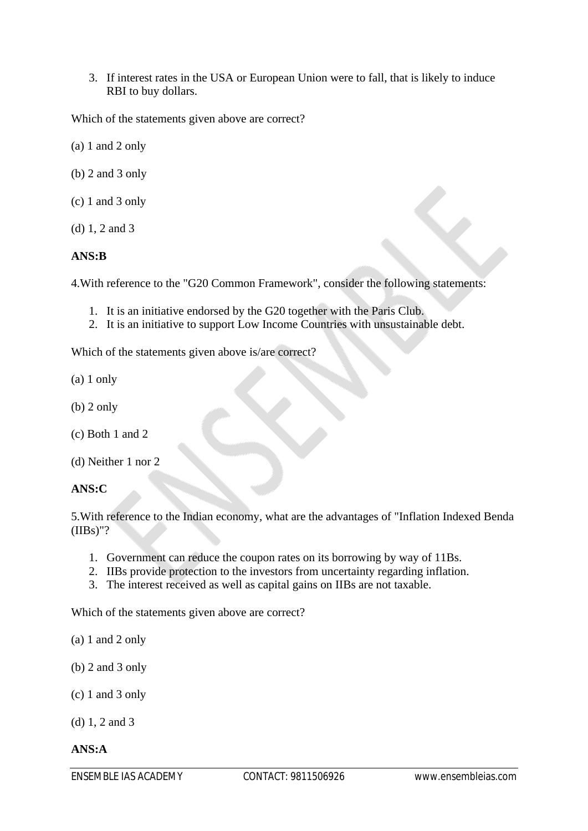3. If interest rates in the USA or European Union were to fall, that is likely to induce RBI to buy dollars.

Which of the statements given above are correct?

- (a) 1 and 2 only
- (b) 2 and 3 only
- (c) 1 and 3 only
- (d) 1, 2 and 3

## **ANS:B**

4.With reference to the "G20 Common Framework", consider the following statements:

- 1. It is an initiative endorsed by the G20 together with the Paris Club.
- 2. It is an initiative to support Low Income Countries with unsustainable debt.

Which of the statements given above is/are correct?

- (a) 1 only
- (b) 2 only
- (c) Both 1 and 2
- (d) Neither 1 nor 2

#### **ANS:C**

5.With reference to the Indian economy, what are the advantages of "Inflation Indexed Benda (IIBs)"?

- 1. Government can reduce the coupon rates on its borrowing by way of 11Bs.
- 2. IIBs provide protection to the investors from uncertainty regarding inflation.
- 3. The interest received as well as capital gains on IIBs are not taxable.

Which of the statements given above are correct?

- (a) 1 and 2 only
- (b) 2 and 3 only
- (c) 1 and 3 only

(d) 1, 2 and 3

#### **ANS:A**

ENSEMBLE IAS ACADEMY CONTACT: 9811506926 www.ensembleias.com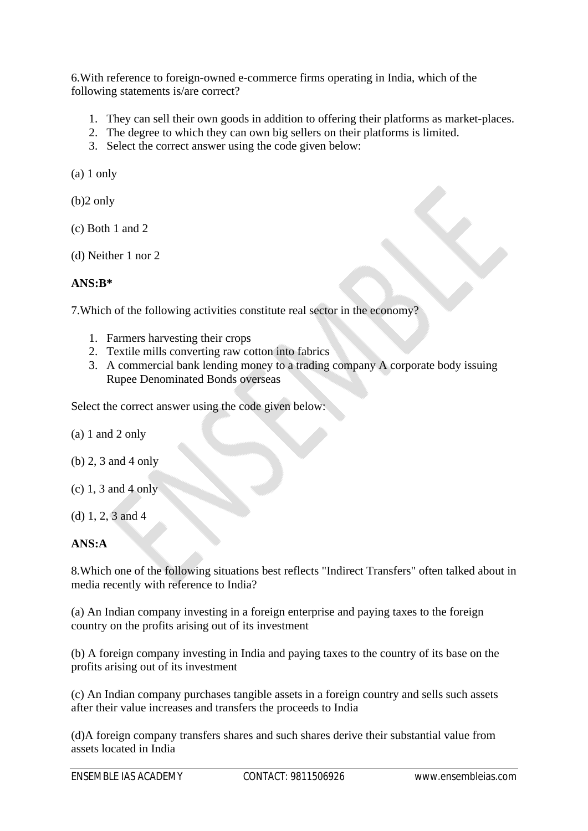6.With reference to foreign-owned e-commerce firms operating in India, which of the following statements is/are correct?

- 1. They can sell their own goods in addition to offering their platforms as market-places.
- 2. The degree to which they can own big sellers on their platforms is limited.
- 3. Select the correct answer using the code given below:

(a) 1 only

(b)2 only

- (c) Both 1 and 2
- (d) Neither 1 nor 2

## **ANS:B\***

7.Which of the following activities constitute real sector in the economy?

- 1. Farmers harvesting their crops
- 2. Textile mills converting raw cotton into fabrics
- 3. A commercial bank lending money to a trading company A corporate body issuing Rupee Denominated Bonds overseas

Select the correct answer using the code given below:

- (a) 1 and 2 only
- (b) 2, 3 and 4 only
- (c) 1, 3 and 4 only
- (d) 1, 2, 3 and 4

## **ANS:A**

8.Which one of the following situations best reflects "Indirect Transfers" often talked about in media recently with reference to India?

(a) An Indian company investing in a foreign enterprise and paying taxes to the foreign country on the profits arising out of its investment

(b) A foreign company investing in India and paying taxes to the country of its base on the profits arising out of its investment

(c) An Indian company purchases tangible assets in a foreign country and sells such assets after their value increases and transfers the proceeds to India

(d)A foreign company transfers shares and such shares derive their substantial value from assets located in India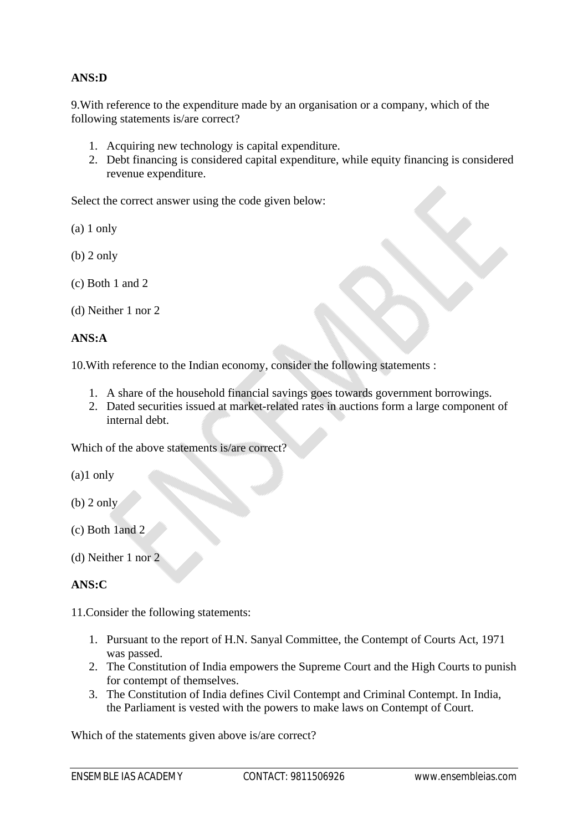## **ANS:D**

9.With reference to the expenditure made by an organisation or a company, which of the following statements is/are correct?

- 1. Acquiring new technology is capital expenditure.
- 2. Debt financing is considered capital expenditure, while equity financing is considered revenue expenditure.

Select the correct answer using the code given below:

(a) 1 only

- (b) 2 only
- (c) Both 1 and 2

```
(d) Neither 1 nor 2
```
## **ANS:A**

10.With reference to the Indian economy, consider the following statements :

- 1. A share of the household financial savings goes towards government borrowings.
- 2. Dated securities issued at market-related rates in auctions form a large component of internal debt.

Which of the above statements is/are correct?

(a)1 only

- (b) 2 only
- (c) Both 1and 2
- (d) Neither 1 nor 2

## **ANS:C**

11.Consider the following statements:

- 1. Pursuant to the report of H.N. Sanyal Committee, the Contempt of Courts Act, 1971 was passed.
- 2. The Constitution of India empowers the Supreme Court and the High Courts to punish for contempt of themselves.
- 3. The Constitution of India defines Civil Contempt and Criminal Contempt. In India, the Parliament is vested with the powers to make laws on Contempt of Court.

Which of the statements given above is/are correct?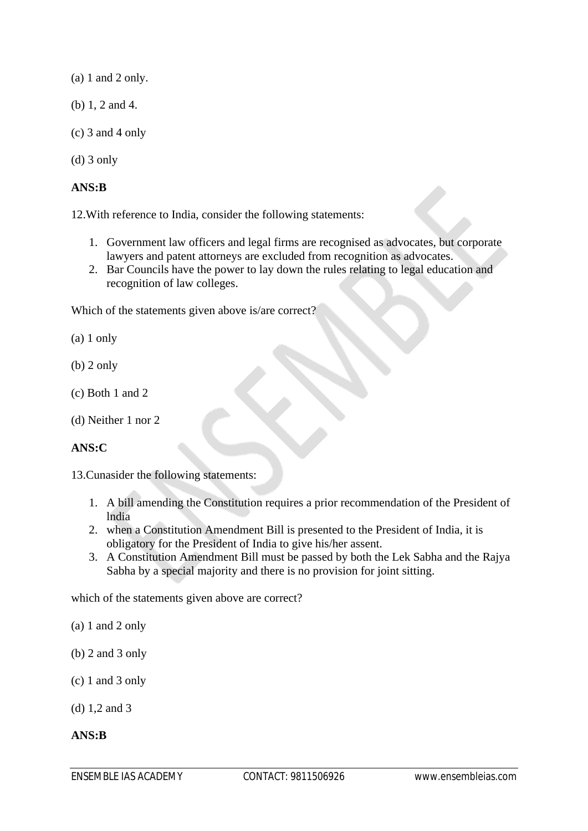(a) 1 and 2 only.

- (b) 1, 2 and 4.
- (c) 3 and 4 only
- (d) 3 only

## **ANS:B**

12.With reference to India, consider the following statements:

- 1. Government law officers and legal firms are recognised as advocates, but corporate lawyers and patent attorneys are excluded from recognition as advocates.
- 2. Bar Councils have the power to lay down the rules relating to legal education and recognition of law colleges.

Which of the statements given above is/are correct?

- (a) 1 only
- (b) 2 only
- (c) Both 1 and 2
- (d) Neither 1 nor 2

## **ANS:C**

13.Cunasider the following statements:

- 1. A bill amending the Constitution requires a prior recommendation of the President of lndia
- 2. when a Constitution Amendment Bill is presented to the President of India, it is obligatory for the President of India to give his/her assent.
- 3. A Constitution Amendment Bill must be passed by both the Lek Sabha and the Rajya Sabha by a special majority and there is no provision for joint sitting.

which of the statements given above are correct?

- (a) 1 and 2 only
- (b) 2 and 3 only
- (c) 1 and 3 only
- (d) 1,2 and 3

## **ANS:B**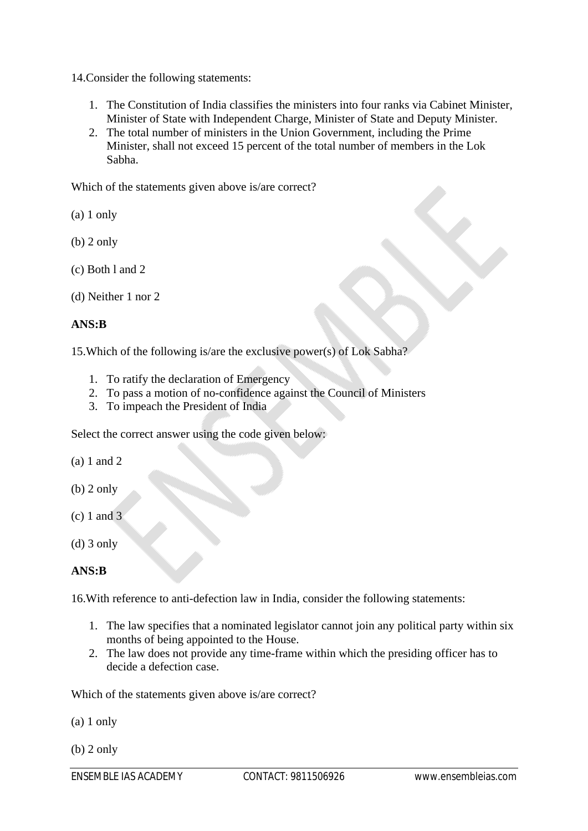14.Consider the following statements:

- 1. The Constitution of India classifies the ministers into four ranks via Cabinet Minister, Minister of State with Independent Charge, Minister of State and Deputy Minister.
- 2. The total number of ministers in the Union Government, including the Prime Minister, shall not exceed 15 percent of the total number of members in the Lok Sabha.

Which of the statements given above is/are correct?

(a) 1 only

- (b) 2 only
- (c) Both l and 2
- (d) Neither 1 nor 2

## **ANS:B**

15.Which of the following is/are the exclusive power(s) of Lok Sabha?

- 1. To ratify the declaration of Emergency
- 2. To pass a motion of no-confidence against the Council of Ministers
- 3. To impeach the President of India

Select the correct answer using the code given below:

(a) 1 and 2

- (b) 2 only
- (c) 1 and 3
- (d) 3 only

## **ANS:B**

16.With reference to anti-defection law in India, consider the following statements:

- 1. The law specifies that a nominated legislator cannot join any political party within six months of being appointed to the House.
- 2. The law does not provide any time-frame within which the presiding officer has to decide a defection case.

Which of the statements given above is/are correct?

(a) 1 only

(b) 2 only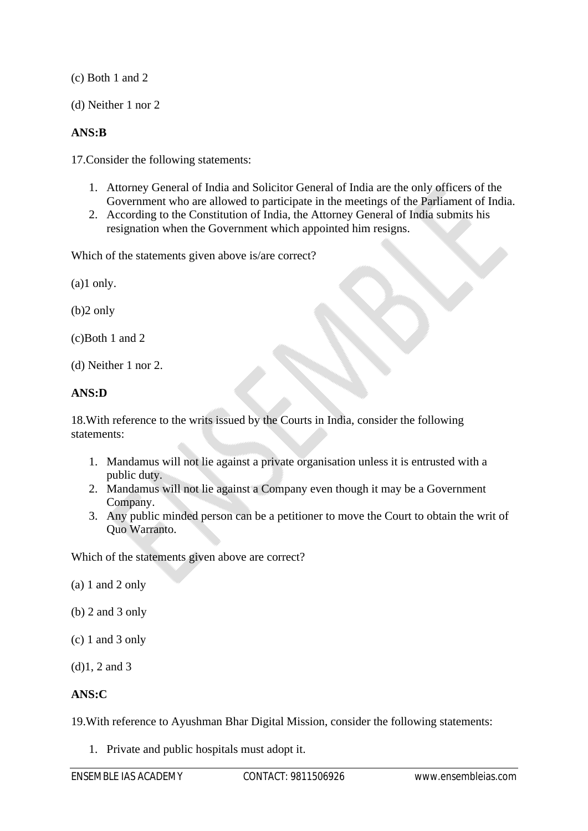(c) Both 1 and 2

(d) Neither 1 nor 2

## **ANS:B**

17.Consider the following statements:

- 1. Attorney General of India and Solicitor General of India are the only officers of the Government who are allowed to participate in the meetings of the Parliament of India.
- 2. According to the Constitution of India, the Attorney General of India submits his resignation when the Government which appointed him resigns.

Which of the statements given above is/are correct?

(a)1 only.

(b)2 only

(c)Both 1 and 2

(d) Neither 1 nor 2.

## **ANS:D**

18.With reference to the writs issued by the Courts in India, consider the following statements:

- 1. Mandamus will not lie against a private organisation unless it is entrusted with a public duty.
- 2. Mandamus will not lie against a Company even though it may be a Government Company.
- 3. Any public minded person can be a petitioner to move the Court to obtain the writ of Quo Warranto.

Which of the statements given above are correct?

(a) 1 and 2 only

- (b) 2 and 3 only
- (c) 1 and 3 only
- (d)1, 2 and 3

## **ANS:C**

19.With reference to Ayushman Bhar Digital Mission, consider the following statements:

1. Private and public hospitals must adopt it.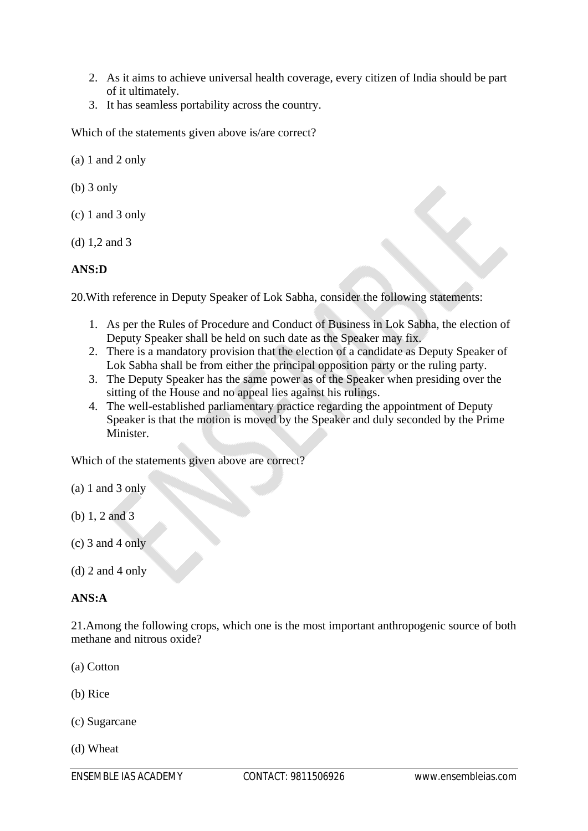- 2. As it aims to achieve universal health coverage, every citizen of India should be part of it ultimately.
- 3. It has seamless portability across the country.

Which of the statements given above is/are correct?

(a) 1 and 2 only

- (b) 3 only
- (c) 1 and 3 only
- (d) 1,2 and 3

## **ANS:D**

20.With reference in Deputy Speaker of Lok Sabha, consider the following statements:

- 1. As per the Rules of Procedure and Conduct of Business in Lok Sabha, the election of Deputy Speaker shall be held on such date as the Speaker may fix.
- 2. There is a mandatory provision that the election of a candidate as Deputy Speaker of Lok Sabha shall be from either the principal opposition party or the ruling party.
- 3. The Deputy Speaker has the same power as of the Speaker when presiding over the sitting of the House and no appeal lies against his rulings.
- 4. The well-established parliamentary practice regarding the appointment of Deputy Speaker is that the motion is moved by the Speaker and duly seconded by the Prime Minister.

Which of the statements given above are correct?

- (a) 1 and 3 only
- (b) 1, 2 and 3
- $(c)$  3 and 4 only
- $(d)$  2 and 4 only

#### **ANS:A**

21.Among the following crops, which one is the most important anthropogenic source of both methane and nitrous oxide?

(a) Cotton

(b) Rice

(c) Sugarcane

(d) Wheat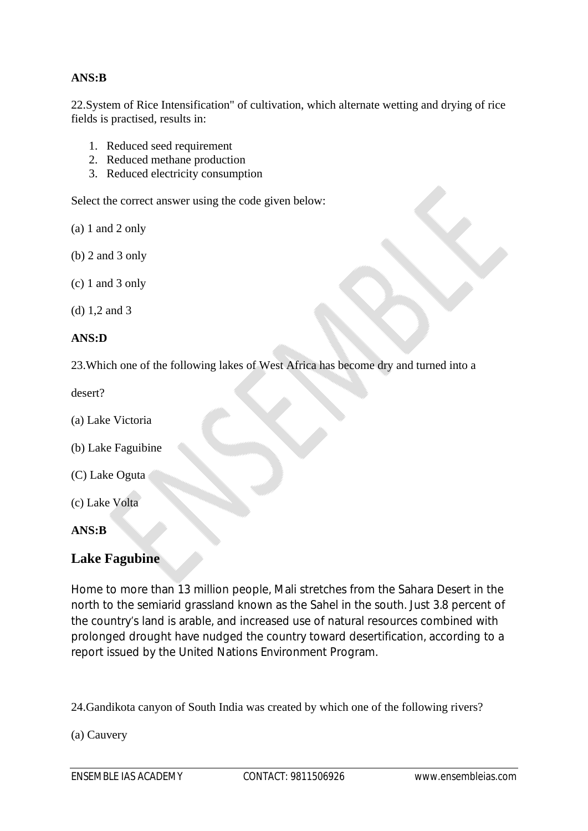## **ANS:B**

22.System of Rice Intensification" of cultivation, which alternate wetting and drying of rice fields is practised, results in:

- 1. Reduced seed requirement
- 2. Reduced methane production
- 3. Reduced electricity consumption

Select the correct answer using the code given below:

(a) 1 and 2 only

(b) 2 and 3 only

(c) 1 and 3 only

(d) 1,2 and 3

## **ANS:D**

23.Which one of the following lakes of West Africa has become dry and turned into a

desert?

- (a) Lake Victoria
- (b) Lake Faguibine
- (C) Lake Oguta
- (c) Lake Volta

## **ANS:B**

## **Lake Fagubine**

Home to more than 13 million people, Mali stretches from the Sahara Desert in the north to the semiarid grassland known as the Sahel in the south. Just 3.8 percent of the country's land is arable, and increased use of natural resources combined with prolonged drought have nudged the country toward desertification, according to a report issued by the United Nations Environment Program.

24.Gandikota canyon of South India was created by which one of the following rivers?

(a) Cauvery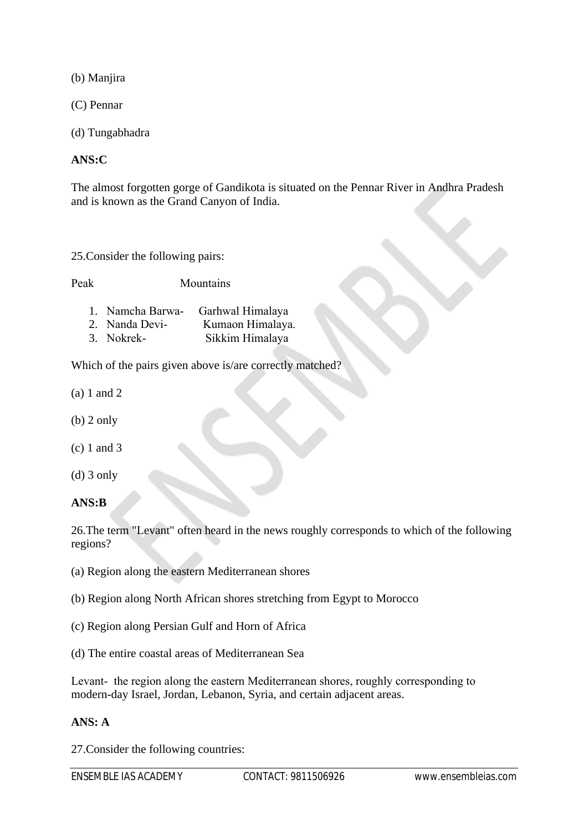(b) Manjira

(C) Pennar

(d) Tungabhadra

## **ANS:C**

The almost forgotten gorge of Gandikota is situated on the Pennar River in Andhra Pradesh and is known as the Grand Canyon of India.

25.Consider the following pairs:

Peak Mountains

- 1. Namcha Barwa- Garhwal Himalaya
- 2. Nanda Devi- Kumaon Himalaya.
- 3. Nokrek- Sikkim Himalaya

Which of the pairs given above is/are correctly matched?

- (a) 1 and 2
- (b) 2 only
- (c) 1 and 3
- (d) 3 only

**ANS:B**

26.The term "Levant" often heard in the news roughly corresponds to which of the following regions?

(a) Region along the eastern Mediterranean shores

- (b) Region along North African shores stretching from Egypt to Morocco
- (c) Region along Persian Gulf and Horn of Africa
- (d) The entire coastal areas of Mediterranean Sea

Levant- the region along the eastern Mediterranean shores, roughly corresponding to modern-day Israel, Jordan, Lebanon, Syria, and certain adjacent areas.

## **ANS: A**

27.Consider the following countries: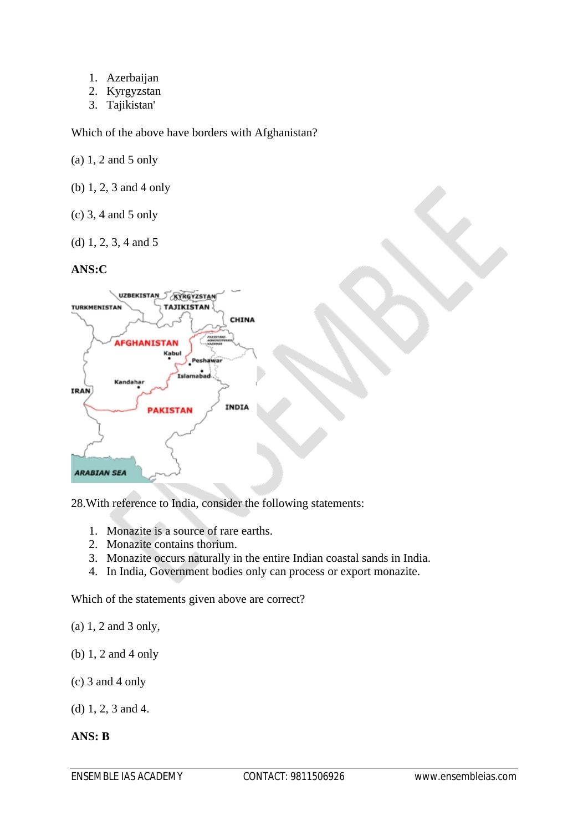- 1. Azerbaijan
- 2. Kyrgyzstan
- 3. Tajikistan'

Which of the above have borders with Afghanistan?

(a) 1, 2 and 5 only

- (b) 1, 2, 3 and 4 only
- (c) 3, 4 and 5 only
- (d) 1, 2, 3, 4 and 5

## **ANS:C**



28.With reference to India, consider the following statements:

- 1. Monazite is a source of rare earths.
- 2. Monazite contains thorium.
- 3. Monazite occurs naturally in the entire Indian coastal sands in India.
- 4. In India, Government bodies only can process or export monazite.

Which of the statements given above are correct?

- (a) 1, 2 and 3 only,
- (b) 1, 2 and 4 only
- (c) 3 and 4 only
- (d) 1, 2, 3 and 4.

## **ANS: B**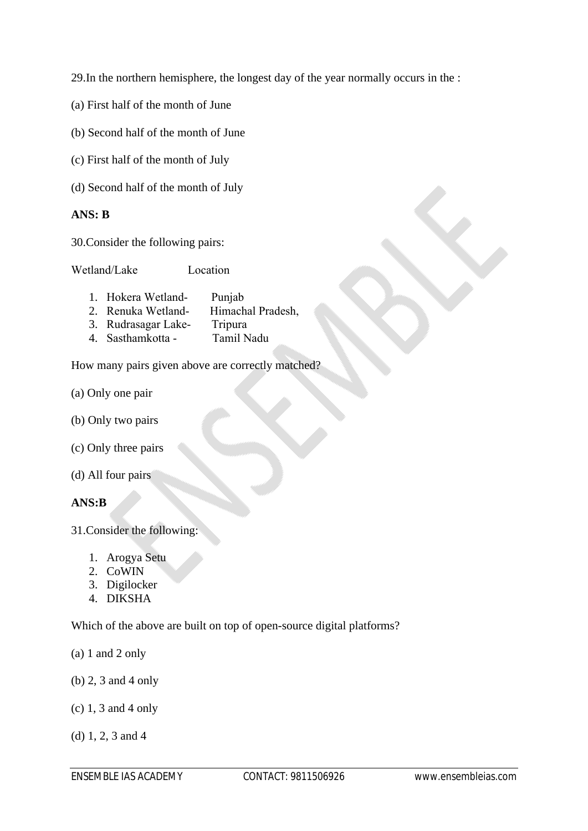29.In the northern hemisphere, the longest day of the year normally occurs in the :

- (a) First half of the month of June
- (b) Second half of the month of June
- (c) First half of the month of July
- (d) Second half of the month of July

#### **ANS: B**

30.Consider the following pairs:

Wetland/Lake Location

- 1. Hokera Wetland- Punjab 2. Renuka Wetland- Himachal Pradesh, 3. Rudrasagar Lake- Tripura
- 4. Sasthamkotta Tamil Nadu

How many pairs given above are correctly matched?

- (a) Only one pair
- (b) Only two pairs
- (c) Only three pairs
- (d) All four pairs

**ANS:B**

- 31.Consider the following:
	- 1. Arogya Setu
	- 2. CoWIN
	- 3. Digilocker
	- 4. DIKSHA

Which of the above are built on top of open-source digital platforms?

- (a) 1 and 2 only
- (b) 2, 3 and 4 only
- (c) 1, 3 and 4 only
- (d) 1, 2, 3 and 4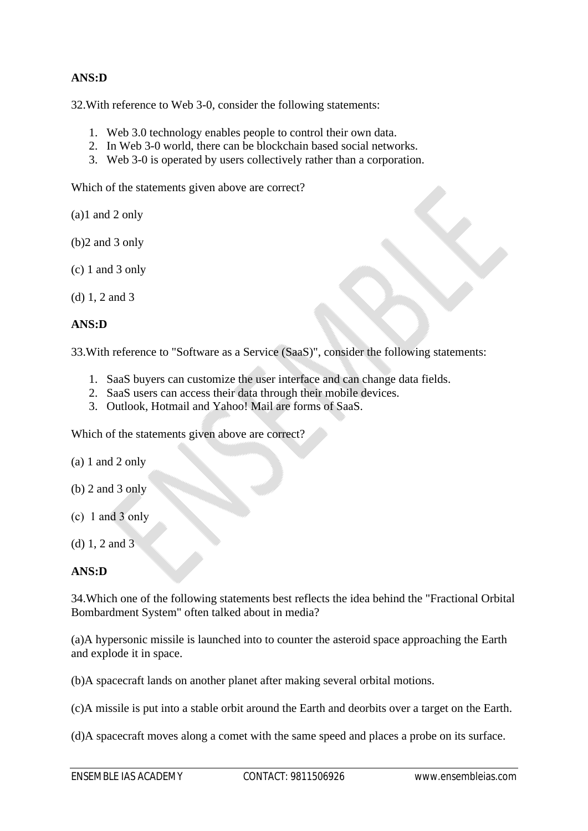## **ANS:D**

32.With reference to Web 3-0, consider the following statements:

- 1. Web 3.0 technology enables people to control their own data.
- 2. In Web 3-0 world, there can be blockchain based social networks.
- 3. Web 3-0 is operated by users collectively rather than a corporation.

Which of the statements given above are correct?

(a)1 and 2 only

- (b)2 and 3 only
- (c) 1 and 3 only
- (d) 1, 2 and 3

## **ANS:D**

33.With reference to "Software as a Service (SaaS)", consider the following statements:

- 1. SaaS buyers can customize the user interface and can change data fields.
- 2. SaaS users can access their data through their mobile devices.
- 3. Outlook, Hotmail and Yahoo! Mail are forms of SaaS.

Which of the statements given above are correct?

- (a) 1 and 2 only
- (b) 2 and 3 only
- $(c)$  1 and 3 only
- (d) 1, 2 and 3

## **ANS:D**

34.Which one of the following statements best reflects the idea behind the "Fractional Orbital Bombardment System" often talked about in media?

(a)A hypersonic missile is launched into to counter the asteroid space approaching the Earth and explode it in space.

(b)A spacecraft lands on another planet after making several orbital motions.

(c)A missile is put into a stable orbit around the Earth and deorbits over a target on the Earth.

(d)A spacecraft moves along a comet with the same speed and places a probe on its surface.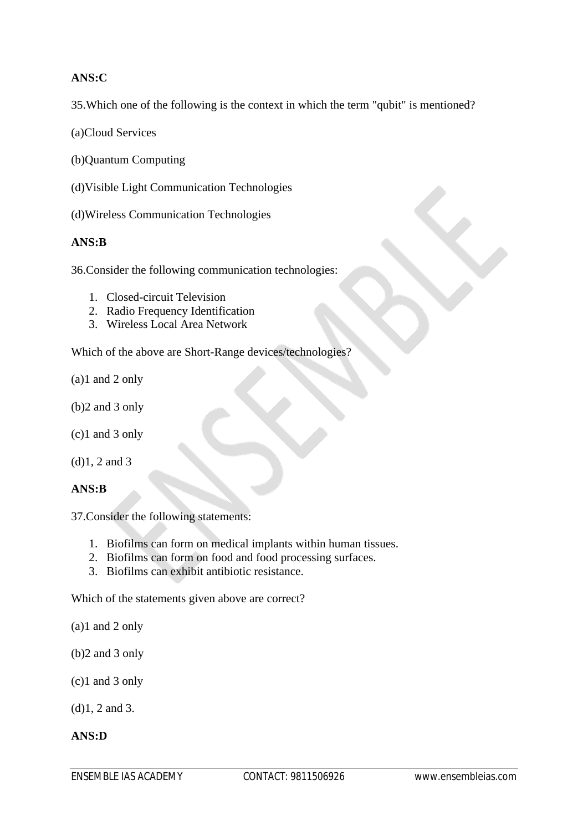## **ANS:C**

35.Which one of the following is the context in which the term "qubit" is mentioned?

(a)Cloud Services

(b)Quantum Computing

(d)Visible Light Communication Technologies

(d)Wireless Communication Technologies

## **ANS:B**

36.Consider the following communication technologies:

- 1. Closed-circuit Television
- 2. Radio Frequency Identification
- 3. Wireless Local Area Network

Which of the above are Short-Range devices/technologies?

- (a)1 and 2 only
- (b)2 and 3 only
- (c)1 and 3 only
- (d)1, 2 and 3

#### **ANS:B**

37.Consider the following statements:

- 1. Biofilms can form on medical implants within human tissues.
- 2. Biofilms can form on food and food processing surfaces.
- 3. Biofilms can exhibit antibiotic resistance.

Which of the statements given above are correct?

(a)1 and 2 only

- (b)2 and 3 only
- (c)1 and 3 only

(d)1, 2 and 3.

#### **ANS:D**

ENSEMBLE IAS ACADEMY CONTACT: 9811506926 www.ensembleias.com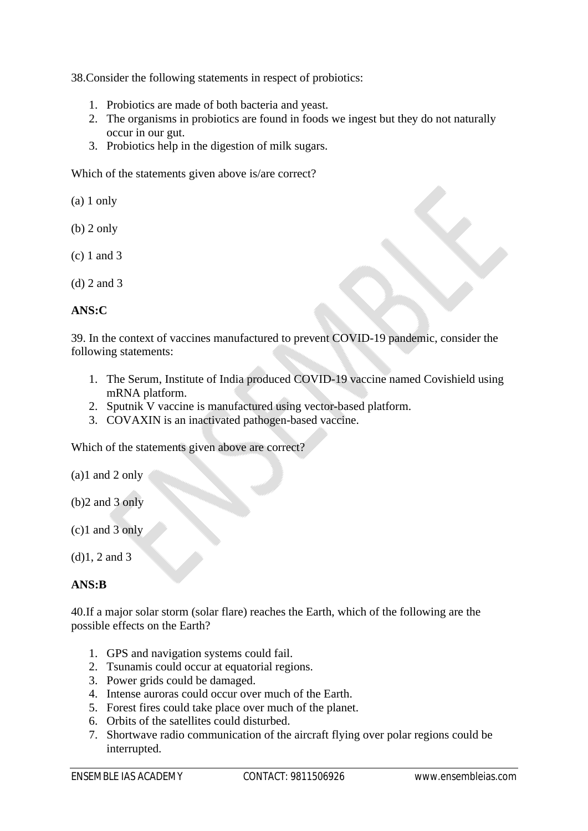38.Consider the following statements in respect of probiotics:

- 1. Probiotics are made of both bacteria and yeast.
- 2. The organisms in probiotics are found in foods we ingest but they do not naturally occur in our gut.
- 3. Probiotics help in the digestion of milk sugars.

Which of the statements given above is/are correct?

(a) 1 only

- (b) 2 only
- (c) 1 and 3
- (d) 2 and 3

## **ANS:C**

39. In the context of vaccines manufactured to prevent COVID-19 pandemic, consider the following statements:

- 1. The Serum, Institute of India produced COVID-19 vaccine named Covishield using mRNA platform.
- 2. Sputnik V vaccine is manufactured using vector-based platform.
- 3. COVAXIN is an inactivated pathogen-based vaccine.

Which of the statements given above are correct?

(a)1 and 2 only

- (b)2 and 3 only
- (c)1 and 3 only

## **ANS:B**

40.If a major solar storm (solar flare) reaches the Earth, which of the following are the possible effects on the Earth?

- 1. GPS and navigation systems could fail.
- 2. Tsunamis could occur at equatorial regions.
- 3. Power grids could be damaged.
- 4. Intense auroras could occur over much of the Earth.
- 5. Forest fires could take place over much of the planet.
- 6. Orbits of the satellites could disturbed.
- 7. Shortwave radio communication of the aircraft flying over polar regions could be interrupted.

<sup>(</sup>d)1, 2 and 3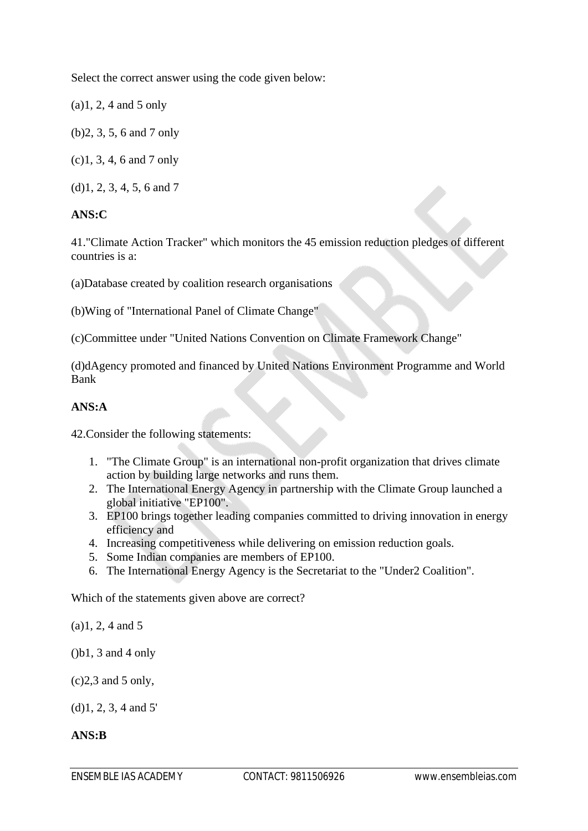Select the correct answer using the code given below:

(a)1, 2, 4 and 5 only

(b)2, 3, 5, 6 and 7 only

(c)1, 3, 4, 6 and 7 only

(d)1, 2, 3, 4, 5, 6 and 7

## **ANS:C**

41."Climate Action Tracker" which monitors the 45 emission reduction pledges of different countries is a:

(a)Database created by coalition research organisations

(b)Wing of "International Panel of Climate Change"

(c)Committee under "United Nations Convention on Climate Framework Change"

(d)dAgency promoted and financed by United Nations Environment Programme and World Bank

## **ANS:A**

42.Consider the following statements:

- 1. "The Climate Group" is an international non-profit organization that drives climate action by building large networks and runs them.
- 2. The International Energy Agency in partnership with the Climate Group launched a global initiative "EP100".
- 3. EP100 brings together leading companies committed to driving innovation in energy efficiency and
- 4. Increasing competitiveness while delivering on emission reduction goals.
- 5. Some Indian companies are members of EP100.
- 6. The International Energy Agency is the Secretariat to the "Under2 Coalition".

Which of the statements given above are correct?

(a)1, 2, 4 and 5

 $(b1, 3 \text{ and } 4 \text{ only})$ 

 $(c)$ 2,3 and 5 only,

(d)1, 2, 3, 4 and 5'

#### **ANS:B**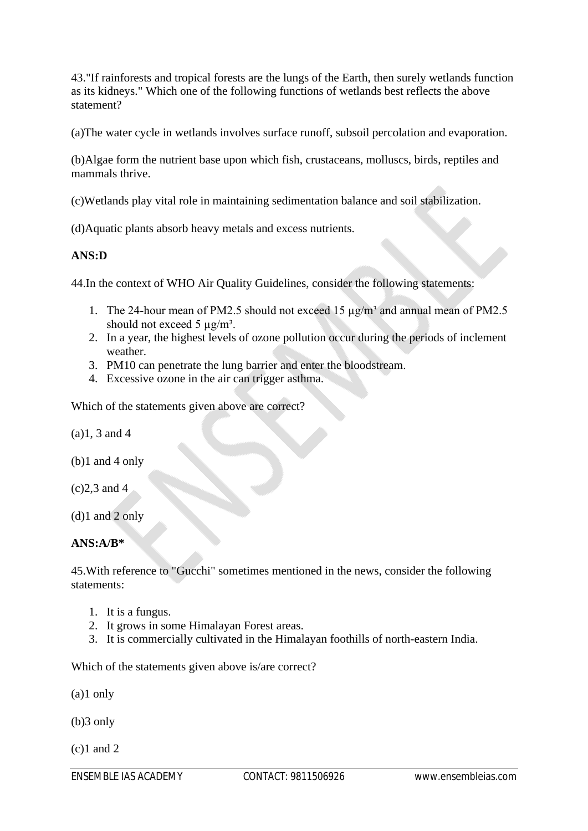43."If rainforests and tropical forests are the lungs of the Earth, then surely wetlands function as its kidneys." Which one of the following functions of wetlands best reflects the above statement?

(a)The water cycle in wetlands involves surface runoff, subsoil percolation and evaporation.

(b)Algae form the nutrient base upon which fish, crustaceans, molluscs, birds, reptiles and mammals thrive.

(c)Wetlands play vital role in maintaining sedimentation balance and soil stabilization.

(d)Aquatic plants absorb heavy metals and excess nutrients.

## **ANS:D**

44.In the context of WHO Air Quality Guidelines, consider the following statements:

- 1. The 24-hour mean of PM2.5 should not exceed 15  $\mu$ g/m<sup>3</sup> and annual mean of PM2.5 should not exceed 5  $\mu$ g/m<sup>3</sup>.
- 2. In a year, the highest levels of ozone pollution occur during the periods of inclement weather.
- 3. PM10 can penetrate the lung barrier and enter the bloodstream.
- 4. Excessive ozone in the air can trigger asthma.

Which of the statements given above are correct?

(a)1, 3 and 4

- (b)1 and 4 only
- (c)2,3 and 4

(d)1 and 2 only

#### **ANS:A/B\***

45.With reference to "Gucchi" sometimes mentioned in the news, consider the following statements:

- 1. It is a fungus.
- 2. It grows in some Himalayan Forest areas.
- 3. It is commercially cultivated in the Himalayan foothills of north-eastern India.

Which of the statements given above is/are correct?

(a)1 only

(b)3 only

 $(c)1$  and 2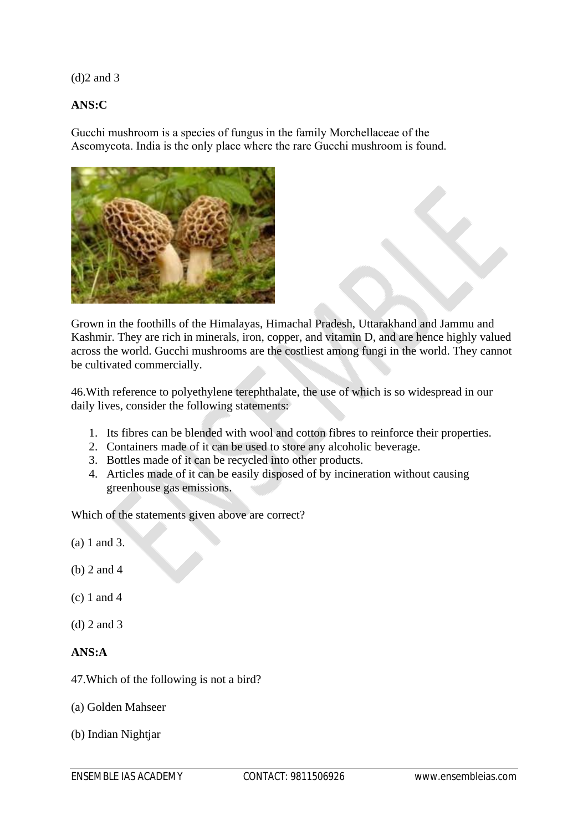(d)2 and 3

## **ANS:C**

Gucchi mushroom is a species of fungus in the family Morchellaceae of the Ascomycota. India is the only place where the rare Gucchi mushroom is found.



Grown in the foothills of the Himalayas, Himachal Pradesh, Uttarakhand and Jammu and Kashmir. They are rich in minerals, iron, copper, and vitamin D, and are hence highly valued across the world. Gucchi mushrooms are the costliest among fungi in the world. They cannot be cultivated commercially.

46.With reference to polyethylene terephthalate, the use of which is so widespread in our daily lives, consider the following statements:

- 1. Its fibres can be blended with wool and cotton fibres to reinforce their properties.
- 2. Containers made of it can be used to store any alcoholic beverage.
- 3. Bottles made of it can be recycled into other products.
- 4. Articles made of it can be easily disposed of by incineration without causing greenhouse gas emissions.

Which of the statements given above are correct?

(a) 1 and 3.

- (b) 2 and 4
- (c) 1 and 4
- (d) 2 and 3

## **ANS:A**

- 47.Which of the following is not a bird?
- (a) Golden Mahseer
- (b) Indian Nightjar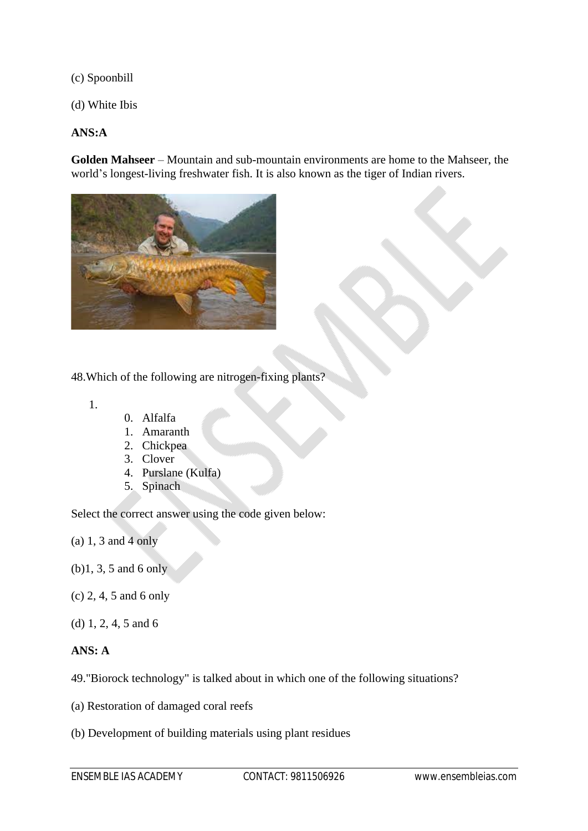(c) Spoonbill

(d) White Ibis

## **ANS:A**

**Golden Mahseer** – Mountain and sub-mountain environments are home to the Mahseer, the world's longest-living freshwater fish. It is also known as the tiger of Indian rivers.



## 48.Which of the following are nitrogen-fixing plants?

1.

- 0. Alfalfa
- 1. Amaranth
- 2. Chickpea
- 3. Clover
- 4. Purslane (Kulfa)
- 5. Spinach

Select the correct answer using the code given below:

(a) 1, 3 and 4 only

- (b)1, 3, 5 and 6 only
- (c) 2, 4, 5 and 6 only
- (d) 1, 2, 4, 5 and 6

## **ANS: A**

49."Biorock technology" is talked about in which one of the following situations?

- (a) Restoration of damaged coral reefs
- (b) Development of building materials using plant residues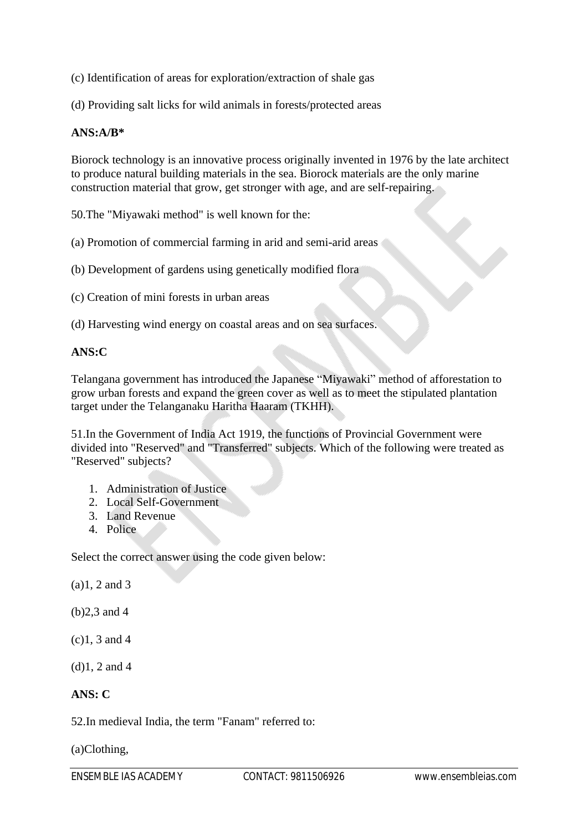(c) Identification of areas for exploration/extraction of shale gas

(d) Providing salt licks for wild animals in forests/protected areas

## **ANS:A/B\***

Biorock technology is an innovative process originally invented in 1976 by the late architect to produce natural building materials in the sea. Biorock materials are the only marine construction material that grow, get stronger with age, and are self-repairing.

50.The "Miyawaki method" is well known for the:

(a) Promotion of commercial farming in arid and semi-arid areas

(b) Development of gardens using genetically modified flora

(c) Creation of mini forests in urban areas

(d) Harvesting wind energy on coastal areas and on sea surfaces.

## **ANS:C**

Telangana government has introduced the Japanese "Miyawaki" method of afforestation to grow urban forests and expand the green cover as well as to meet the stipulated plantation target under the Telanganaku Haritha Haaram (TKHH).

51.In the Government of India Act 1919, the functions of Provincial Government were divided into "Reserved" and "Transferred" subjects. Which of the following were treated as "Reserved" subjects?

- 1. Administration of Justice
- 2. Local Self-Government
- 3. Land Revenue
- 4. Police

Select the correct answer using the code given below:

(a)1, 2 and 3

(b)2,3 and 4

(c)1, 3 and 4

(d)1, 2 and 4

## **ANS: C**

52.In medieval India, the term "Fanam" referred to:

(a)Clothing,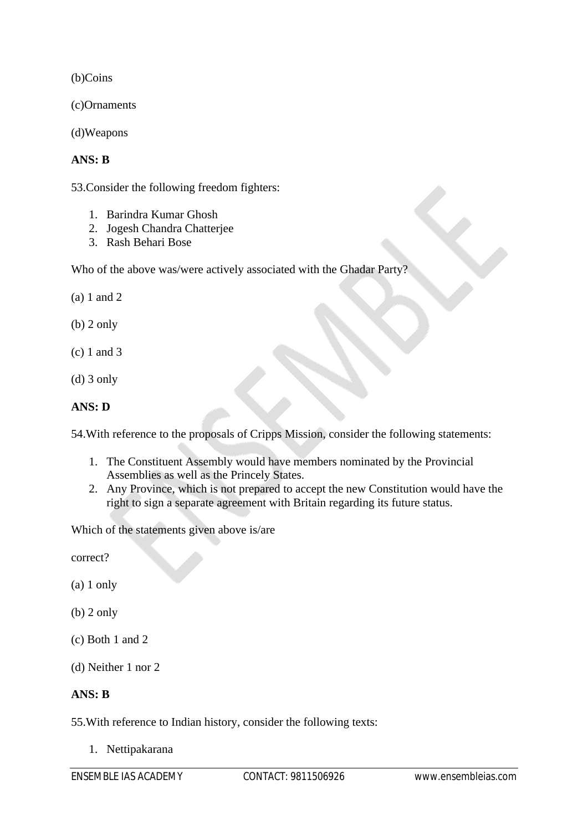(b)Coins

(c)Ornaments

(d)Weapons

## **ANS: B**

53.Consider the following freedom fighters:

- 1. Barindra Kumar Ghosh
- 2. Jogesh Chandra Chatterjee
- 3. Rash Behari Bose

Who of the above was/were actively associated with the Ghadar Party?

(a) 1 and 2

(b) 2 only

- (c) 1 and 3
- (d) 3 only

## **ANS: D**

54.With reference to the proposals of Cripps Mission, consider the following statements:

- 1. The Constituent Assembly would have members nominated by the Provincial Assemblies as well as the Princely States.
- 2. Any Province, which is not prepared to accept the new Constitution would have the right to sign a separate agreement with Britain regarding its future status.

Which of the statements given above is/are

correct?

- (a) 1 only
- (b) 2 only
- (c) Both 1 and 2
- (d) Neither 1 nor 2

## **ANS: B**

55.With reference to Indian history, consider the following texts:

1. Nettipakarana

ENSEMBLE IAS ACADEMY CONTACT: 9811506926 www.ensembleias.com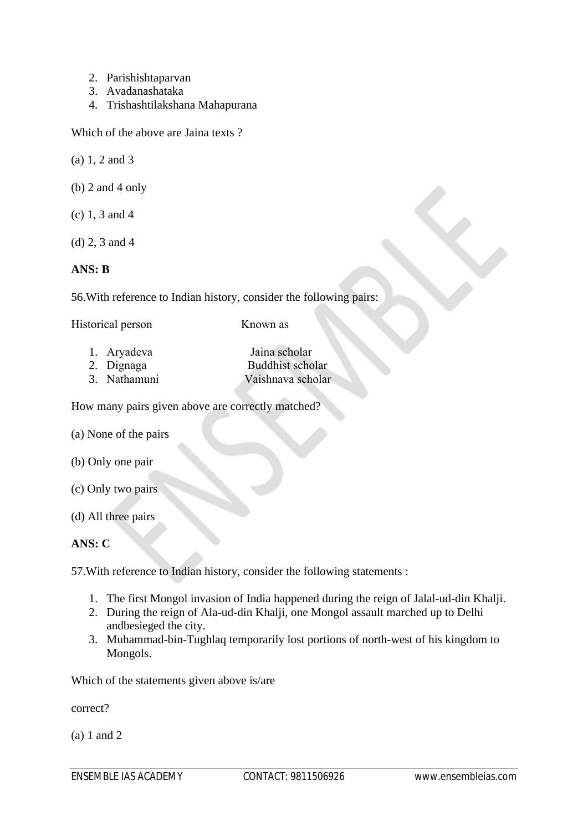- 2. Parishishtaparvan
- 3. Avadanashataka
- 4. Trishashtilakshana Mahapurana

Which of the above are Jaina texts ?

- (a) 1, 2 and 3
- (b) 2 and 4 only
- (c) 1, 3 and 4
- (d) 2, 3 and 4

## **ANS: B**

56.With reference to Indian history, consider the following pairs:

| Historical person | Known as                |
|-------------------|-------------------------|
| 1. Aryadeva       | Jaina scholar           |
| 2. Dignaga        | <b>Buddhist scholar</b> |

3. Nathamuni Vaishnava scholar

How many pairs given above are correctly matched?

- (a) None of the pairs
- (b) Only one pair
- (c) Only two pairs
- (d) All three pairs

## **ANS: C**

57.With reference to Indian history, consider the following statements :

- 1. The first Mongol invasion of India happened during the reign of Jalal-ud-din Khalji.
- 2. During the reign of Ala-ud-din Khalji, one Mongol assault marched up to Delhi andbesieged the city.
- 3. Muhammad-bin-Tughlaq temporarily lost portions of north-west of his kingdom to Mongols.

Which of the statements given above is/are

correct?

(a) 1 and 2

 $\mathbf{X}$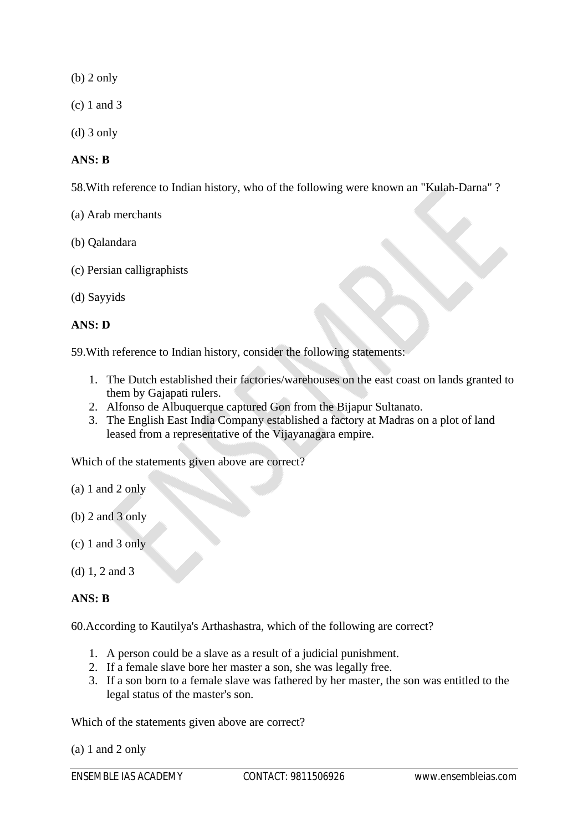(b) 2 only

(c) 1 and 3

(d) 3 only

## **ANS: B**

58.With reference to Indian history, who of the following were known an "Kulah-Darna" ?

- (a) Arab merchants
- (b) Qalandara
- (c) Persian calligraphists
- (d) Sayyids

## **ANS: D**

59.With reference to Indian history, consider the following statements:

- 1. The Dutch established their factories/warehouses on the east coast on lands granted to them by Gajapati rulers.
- 2. Alfonso de Albuquerque captured Gon from the Bijapur Sultanato.
- 3. The English East India Company established a factory at Madras on a plot of land leased from a representative of the Vijayanagara empire.

Which of the statements given above are correct?

- (a) 1 and 2 only
- (b) 2 and 3 only
- (c) 1 and 3 only
- (d) 1, 2 and 3

#### **ANS: B**

60.According to Kautilya's Arthashastra, which of the following are correct?

- 1. A person could be a slave as a result of a judicial punishment.
- 2. If a female slave bore her master a son, she was legally free.
- 3. If a son born to a female slave was fathered by her master, the son was entitled to the legal status of the master's son.

Which of the statements given above are correct?

(a) 1 and 2 only

ENSEMBLE IAS ACADEMY CONTACT: 9811506926 www.ensembleias.com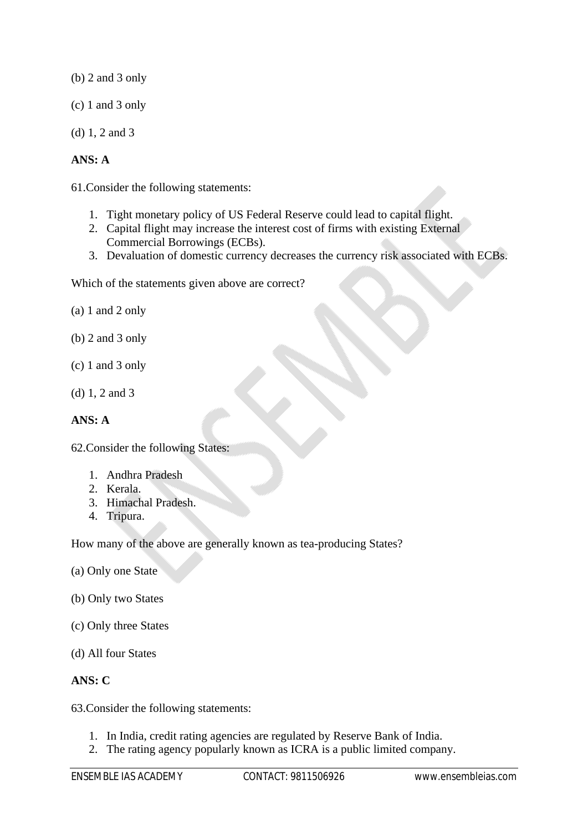(b) 2 and 3 only

- (c) 1 and 3 only
- (d) 1, 2 and 3

## **ANS: A**

61.Consider the following statements:

- 1. Tight monetary policy of US Federal Reserve could lead to capital flight.
- 2. Capital flight may increase the interest cost of firms with existing External Commercial Borrowings (ECBs).
- 3. Devaluation of domestic currency decreases the currency risk associated with ECBs.

Which of the statements given above are correct?

- (a) 1 and 2 only
- (b) 2 and 3 only
- (c) 1 and 3 only
- (d) 1, 2 and 3

## **ANS: A**

62.Consider the following States:

- 1. Andhra Pradesh
- 2. Kerala.
- 3. Himachal Pradesh.
- 4. Tripura.

How many of the above are generally known as tea-producing States?

- (a) Only one State
- (b) Only two States
- (c) Only three States
- (d) All four States

## **ANS: C**

63.Consider the following statements:

- 1. In India, credit rating agencies are regulated by Reserve Bank of India.
- 2. The rating agency popularly known as ICRA is a public limited company.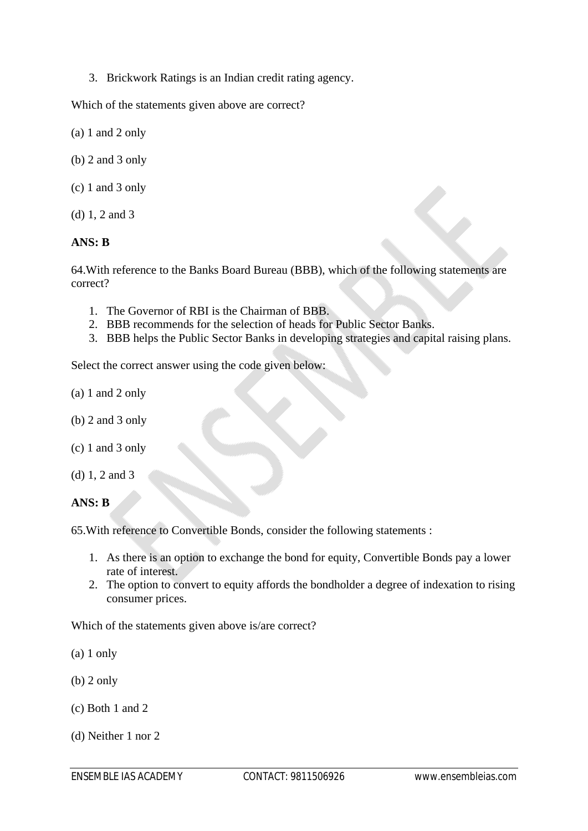3. Brickwork Ratings is an Indian credit rating agency.

Which of the statements given above are correct?

- (a) 1 and 2 only
- (b) 2 and 3 only
- (c) 1 and 3 only
- (d) 1, 2 and 3

## **ANS: B**

64.With reference to the Banks Board Bureau (BBB), which of the following statements are correct?

- 1. The Governor of RBI is the Chairman of BBB.
- 2. BBB recommends for the selection of heads for Public Sector Banks.
- 3. BBB helps the Public Sector Banks in developing strategies and capital raising plans.

Select the correct answer using the code given below:

- (a) 1 and 2 only
- (b) 2 and 3 only
- (c) 1 and 3 only
- (d) 1, 2 and 3

**ANS: B**

65.With reference to Convertible Bonds, consider the following statements :

- 1. As there is an option to exchange the bond for equity, Convertible Bonds pay a lower rate of interest.
- 2. The option to convert to equity affords the bondholder a degree of indexation to rising consumer prices.

Which of the statements given above is/are correct?

(a) 1 only

- (b) 2 only
- (c) Both 1 and 2
- (d) Neither 1 nor 2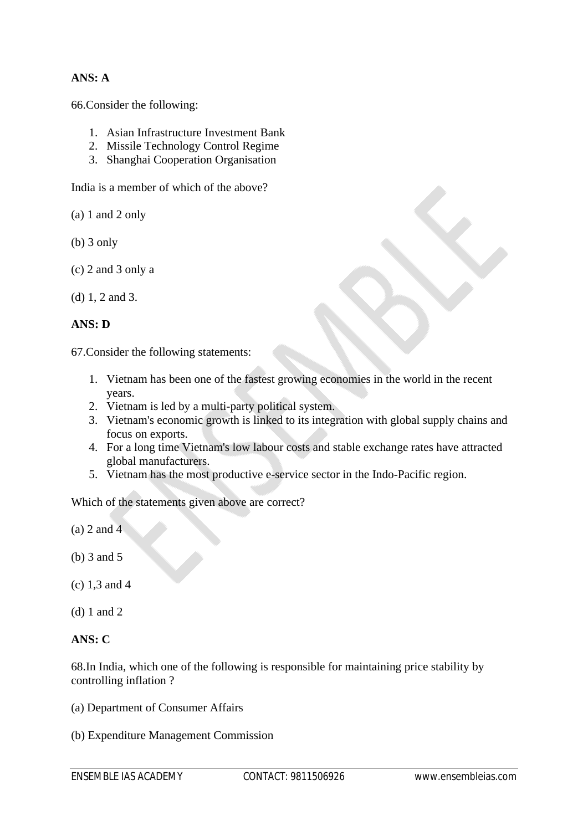## **ANS: A**

66.Consider the following:

- 1. Asian Infrastructure Investment Bank
- 2. Missile Technology Control Regime
- 3. Shanghai Cooperation Organisation

India is a member of which of the above?

(a) 1 and 2 only

- (b) 3 only
- (c) 2 and 3 only a

```
(d) 1, 2 and 3.
```
## **ANS: D**

67.Consider the following statements:

- 1. Vietnam has been one of the fastest growing economies in the world in the recent years.
- 2. Vietnam is led by a multi-party political system.
- 3. Vietnam's economic growth is linked to its integration with global supply chains and focus on exports.
- 4. For a long time Vietnam's low labour costs and stable exchange rates have attracted global manufacturers.
- 5. Vietnam has the most productive e-service sector in the Indo-Pacific region.

Which of the statements given above are correct?

(a) 2 and 4

(b) 3 and 5

(c) 1,3 and 4

(d) 1 and 2

## **ANS: C**

68.In India, which one of the following is responsible for maintaining price stability by controlling inflation ?

- (a) Department of Consumer Affairs
- (b) Expenditure Management Commission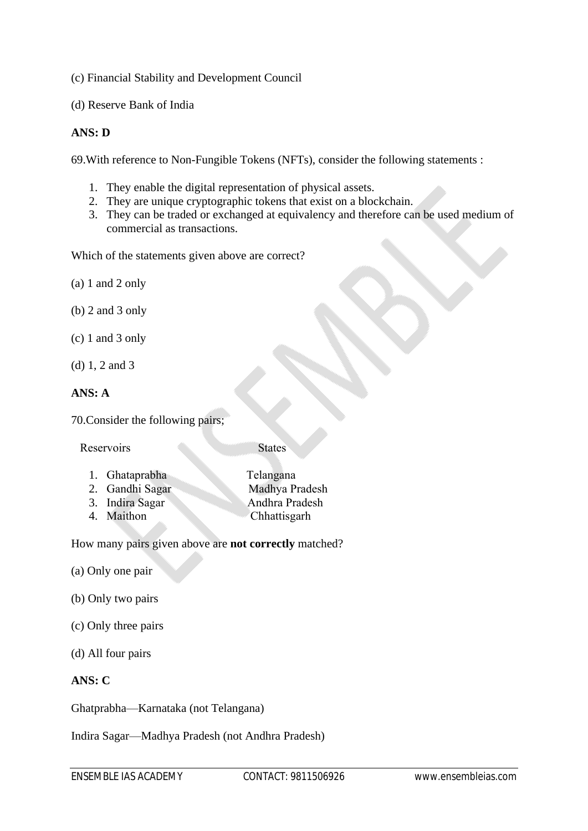(c) Financial Stability and Development Council

(d) Reserve Bank of India

## **ANS: D**

69.With reference to Non-Fungible Tokens (NFTs), consider the following statements :

- 1. They enable the digital representation of physical assets.
- 2. They are unique cryptographic tokens that exist on a blockchain.
- 3. They can be traded or exchanged at equivalency and therefore can be used medium of commercial as transactions.

Which of the statements given above are correct?

(a) 1 and 2 only

- (b) 2 and 3 only
- (c) 1 and 3 only
- (d) 1, 2 and 3

## **ANS: A**

70.Consider the following pairs;

Reservoirs States

| 1. Ghataprabha  | Telangana      |
|-----------------|----------------|
| 2. Gandhi Sagar | Madhya Pradesh |
| 3. Indira Sagar | Andhra Pradesh |
| 4. Maithon      | Chhattisgarh   |
|                 |                |

How many pairs given above are **not correctly** matched?

- (a) Only one pair
- (b) Only two pairs
- (c) Only three pairs
- (d) All four pairs

## **ANS: C**

Ghatprabha—Karnataka (not Telangana)

Indira Sagar—Madhya Pradesh (not Andhra Pradesh)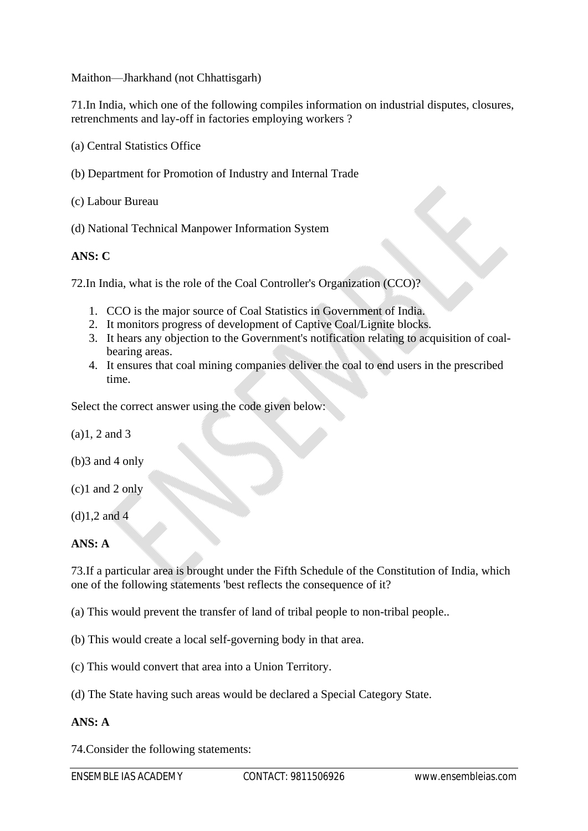Maithon—Jharkhand (not Chhattisgarh)

71.In India, which one of the following compiles information on industrial disputes, closures, retrenchments and lay-off in factories employing workers ?

- (a) Central Statistics Office
- (b) Department for Promotion of Industry and Internal Trade

(c) Labour Bureau

(d) National Technical Manpower Information System

## **ANS: C**

72.In India, what is the role of the Coal Controller's Organization (CCO)?

- 1. CCO is the major source of Coal Statistics in Government of India.
- 2. It monitors progress of development of Captive Coal/Lignite blocks.
- 3. It hears any objection to the Government's notification relating to acquisition of coalbearing areas.
- 4. It ensures that coal mining companies deliver the coal to end users in the prescribed time.

Select the correct answer using the code given below:

(a)1, 2 and 3

- (b)3 and 4 only
- (c)1 and 2 only

(d)1,2 and 4

#### **ANS: A**

73.If a particular area is brought under the Fifth Schedule of the Constitution of India, which one of the following statements 'best reflects the consequence of it?

(a) This would prevent the transfer of land of tribal people to non-tribal people..

(b) This would create a local self-governing body in that area.

(c) This would convert that area into a Union Territory.

(d) The State having such areas would be declared a Special Category State.

## **ANS: A**

74.Consider the following statements: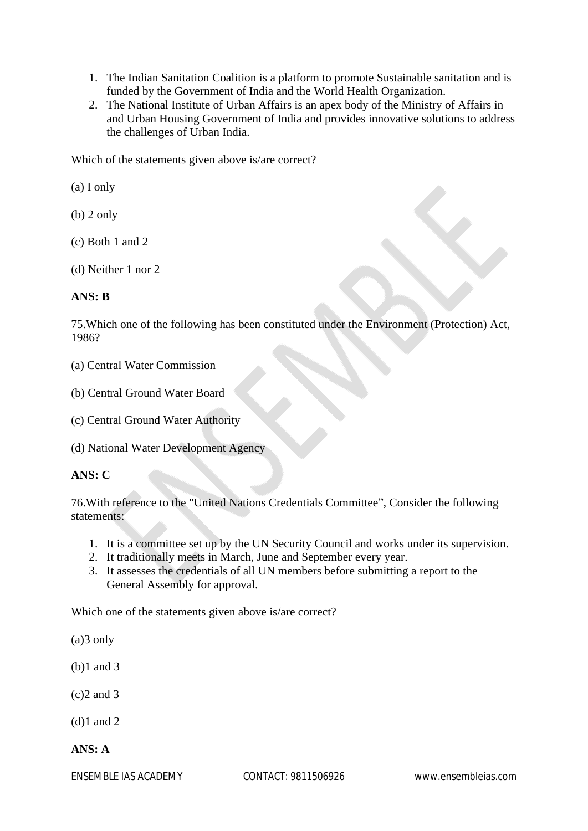- 1. The Indian Sanitation Coalition is a platform to promote Sustainable sanitation and is funded by the Government of India and the World Health Organization.
- 2. The National Institute of Urban Affairs is an apex body of the Ministry of Affairs in and Urban Housing Government of India and provides innovative solutions to address the challenges of Urban India.

Which of the statements given above is/are correct?

(a) I only

(b) 2 only

(c) Both 1 and 2

(d) Neither 1 nor 2

## **ANS: B**

75.Which one of the following has been constituted under the Environment (Protection) Act, 1986?

(a) Central Water Commission

- (b) Central Ground Water Board
- (c) Central Ground Water Authority
- (d) National Water Development Agency

#### **ANS: C**

76.With reference to the "United Nations Credentials Committee", Consider the following statements:

- 1. It is a committee set up by the UN Security Council and works under its supervision.
- 2. It traditionally meets in March, June and September every year.
- 3. It assesses the credentials of all UN members before submitting a report to the General Assembly for approval.

Which one of the statements given above is/are correct?

(a)3 only

- (b)1 and 3
- (c)2 and 3

(d)1 and 2

**ANS: A**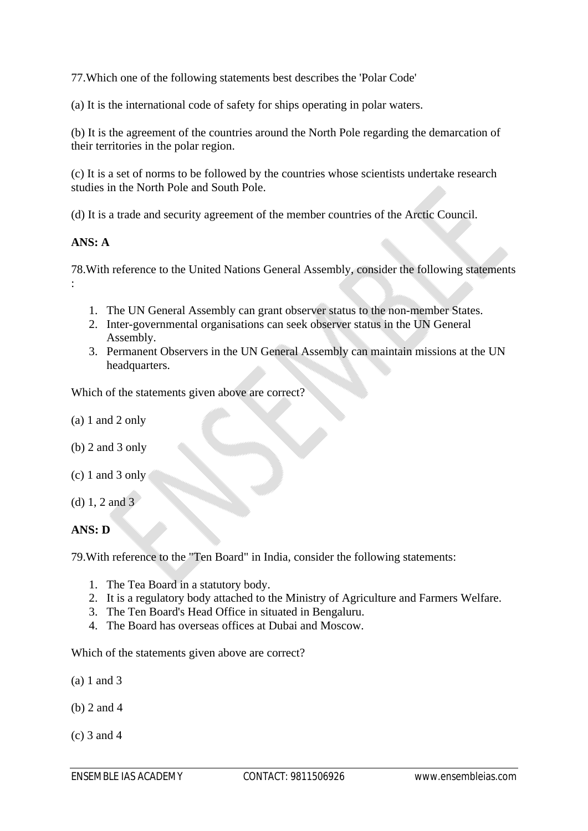77.Which one of the following statements best describes the 'Polar Code'

(a) It is the international code of safety for ships operating in polar waters.

(b) It is the agreement of the countries around the North Pole regarding the demarcation of their territories in the polar region.

(c) It is a set of norms to be followed by the countries whose scientists undertake research studies in the North Pole and South Pole.

(d) It is a trade and security agreement of the member countries of the Arctic Council.

## **ANS: A**

:

78.With reference to the United Nations General Assembly, consider the following statements

- 1. The UN General Assembly can grant observer status to the non-member States.
- 2. Inter-governmental organisations can seek observer status in the UN General Assembly.
- 3. Permanent Observers in the UN General Assembly can maintain missions at the UN headquarters.

Which of the statements given above are correct?

- (a) 1 and 2 only
- (b) 2 and 3 only
- (c) 1 and 3 only
- (d) 1, 2 and 3

## **ANS: D**

79.With reference to the "Ten Board" in India, consider the following statements:

- 1. The Tea Board in a statutory body.
- 2. It is a regulatory body attached to the Ministry of Agriculture and Farmers Welfare.
- 3. The Ten Board's Head Office in situated in Bengaluru.
- 4. The Board has overseas offices at Dubai and Moscow.

Which of the statements given above are correct?

- (a) 1 and 3
- (b) 2 and 4
- (c) 3 and 4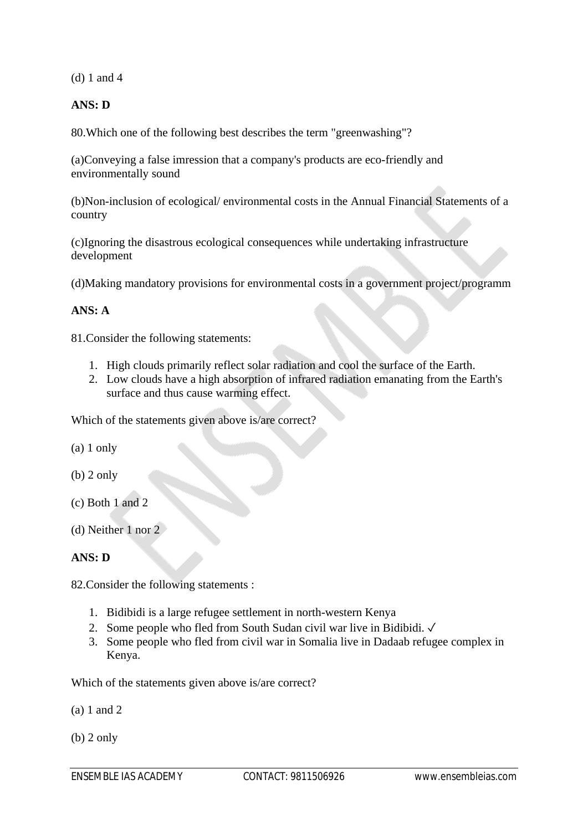(d) 1 and 4

## **ANS: D**

80.Which one of the following best describes the term "greenwashing"?

(a)Conveying a false imression that a company's products are eco-friendly and environmentally sound

(b)Non-inclusion of ecological/ environmental costs in the Annual Financial Statements of a country

(c)Ignoring the disastrous ecological consequences while undertaking infrastructure development

(d)Making mandatory provisions for environmental costs in a government project/programm

## **ANS: A**

81.Consider the following statements:

- 1. High clouds primarily reflect solar radiation and cool the surface of the Earth.
- 2. Low clouds have a high absorption of infrared radiation emanating from the Earth's surface and thus cause warming effect.

Which of the statements given above is/are correct?

- (a) 1 only
- (b) 2 only
- (c) Both 1 and 2
- (d) Neither 1 nor 2

## **ANS: D**

82.Consider the following statements :

- 1. Bidibidi is a large refugee settlement in north-western Kenya
- 2. Some people who fled from South Sudan civil war live in Bidibidi. ✓
- 3. Some people who fled from civil war in Somalia live in Dadaab refugee complex in Kenya.

Which of the statements given above is/are correct?

(a) 1 and 2

(b) 2 only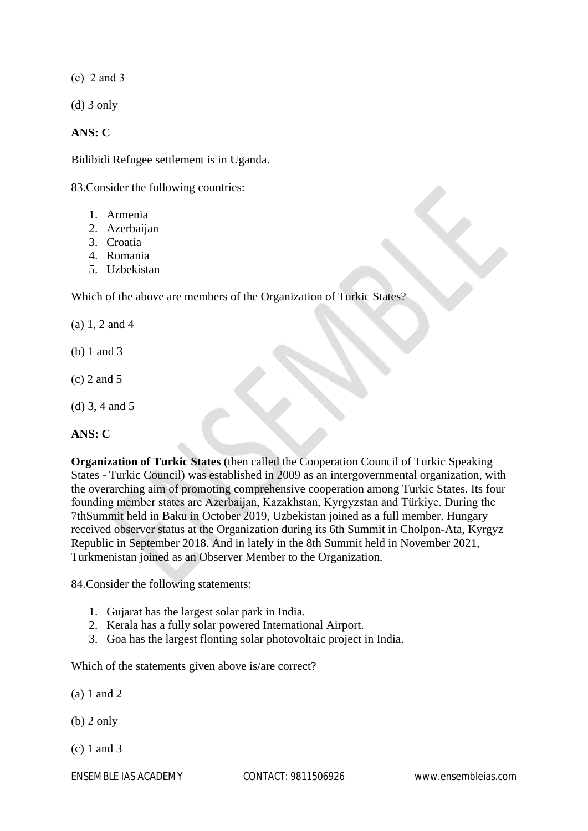$(c)$  2 and 3

(d) 3 only

## **ANS: C**

Bidibidi Refugee settlement is in Uganda.

83.Consider the following countries:

- 1. Armenia
- 2. Azerbaijan
- 3. Croatia
- 4. Romania
- 5. Uzbekistan

Which of the above are members of the Organization of Turkic States?

(a) 1, 2 and 4

- (b) 1 and 3
- (c) 2 and 5
- (d) 3, 4 and 5

## **ANS: C**

**Organization of Turkic States** (then called the Cooperation Council of Turkic Speaking States - Turkic Council) was established in 2009 as an intergovernmental organization, with the overarching aim of promoting comprehensive cooperation among Turkic States. Its four founding member states are Azerbaijan, Kazakhstan, Kyrgyzstan and Türkiye. During the 7thSummit held in Baku in October 2019, Uzbekistan joined as a full member. Hungary received observer status at the Organization during its 6th Summit in Cholpon-Ata, Kyrgyz Republic in September 2018. And in lately in the 8th Summit held in November 2021, Turkmenistan joined as an Observer Member to the Organization.

84.Consider the following statements:

- 1. Gujarat has the largest solar park in India.
- 2. Kerala has a fully solar powered International Airport.
- 3. Goa has the largest flonting solar photovoltaic project in India.

Which of the statements given above is/are correct?

(a) 1 and 2

(b) 2 only

(c) 1 and 3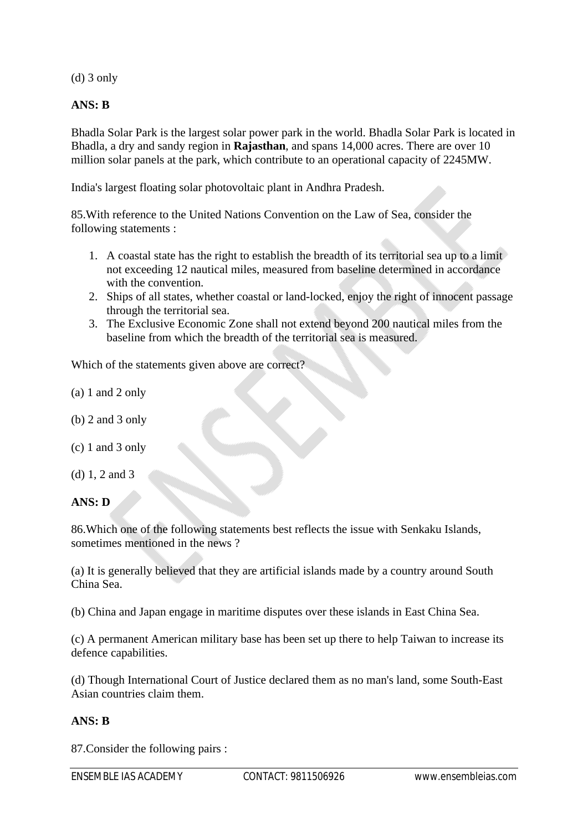(d) 3 only

## **ANS: B**

Bhadla Solar Park is the largest solar power park in the world. Bhadla Solar Park is located in Bhadla, a dry and sandy region in **Rajasthan**, and spans 14,000 acres. There are over 10 million solar panels at the park, which contribute to an operational capacity of 2245MW.

India's largest floating solar photovoltaic plant in Andhra Pradesh.

85.With reference to the United Nations Convention on the Law of Sea, consider the following statements :

- 1. A coastal state has the right to establish the breadth of its territorial sea up to a limit not exceeding 12 nautical miles, measured from baseline determined in accordance with the convention.
- 2. Ships of all states, whether coastal or land-locked, enjoy the right of innocent passage through the territorial sea.
- 3. The Exclusive Economic Zone shall not extend beyond 200 nautical miles from the baseline from which the breadth of the territorial sea is measured.

Which of the statements given above are correct?

- (a) 1 and 2 only
- (b) 2 and 3 only
- (c) 1 and 3 only
- (d) 1, 2 and 3

**ANS: D**

86.Which one of the following statements best reflects the issue with Senkaku Islands, sometimes mentioned in the news ?

(a) It is generally believed that they are artificial islands made by a country around South China Sea.

(b) China and Japan engage in maritime disputes over these islands in East China Sea.

(c) A permanent American military base has been set up there to help Taiwan to increase its defence capabilities.

(d) Though International Court of Justice declared them as no man's land, some South-East Asian countries claim them.

## **ANS: B**

87.Consider the following pairs :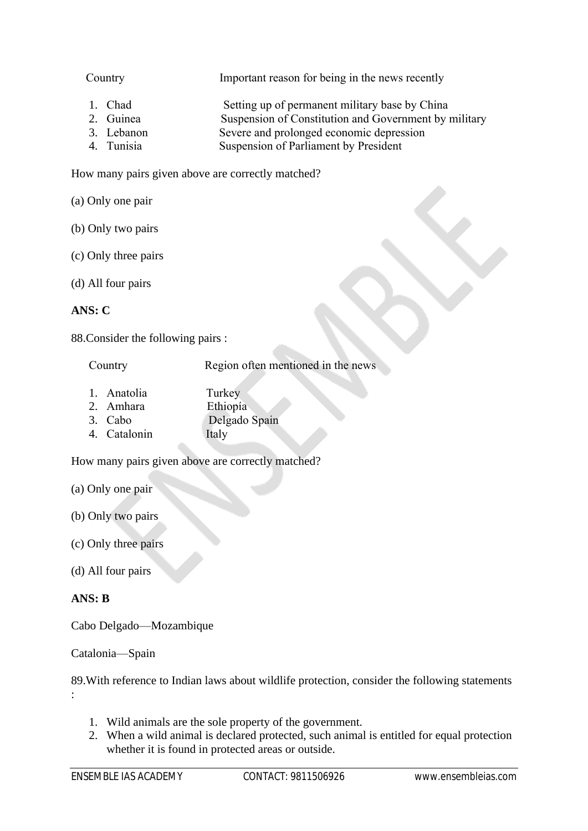| Country    | Important reason for being in the news recently       |
|------------|-------------------------------------------------------|
| 1. Chad    | Setting up of permanent military base by China        |
| 2. Guinea  | Suspension of Constitution and Government by military |
| 3. Lebanon | Severe and prolonged economic depression              |

4. Tunisia Suspension of Parliament by President

How many pairs given above are correctly matched?

(a) Only one pair

- (b) Only two pairs
- (c) Only three pairs
- (d) All four pairs

## **ANS: C**

88.Consider the following pairs :

Country **Region often mentioned in the news** 

- 1. Anatolia Turkey 2. Amhara Ethiopía
- 3. Cabo Delgado Spain
- 4. Catalonin Italy

How many pairs given above are correctly matched?

- (a) Only one pair
- (b) Only two pairs
- (c) Only three pairs
- (d) All four pairs

## **ANS: B**

:

Cabo Delgado—Mozambique

Catalonia—Spain

89.With reference to Indian laws about wildlife protection, consider the following statements

- 1. Wild animals are the sole property of the government.
- 2. When a wild animal is declared protected, such animal is entitled for equal protection whether it is found in protected areas or outside.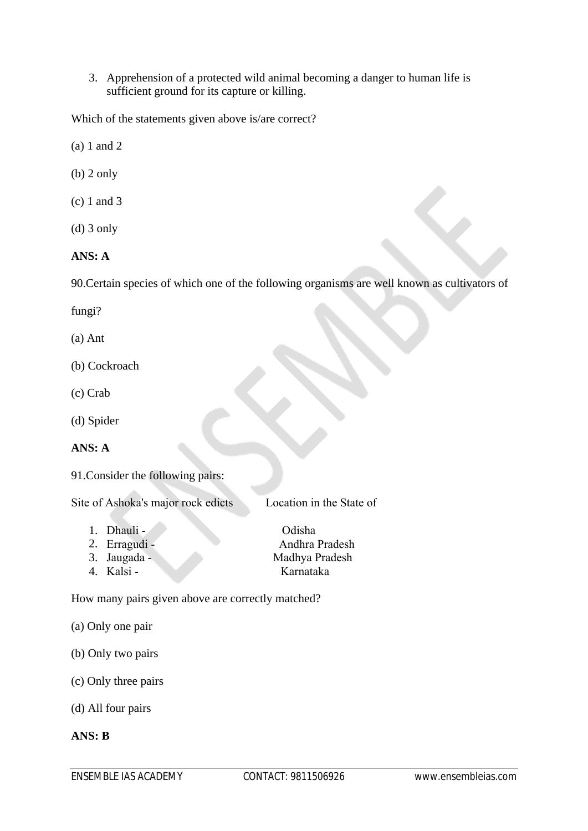3. Apprehension of a protected wild animal becoming a danger to human life is sufficient ground for its capture or killing.

Which of the statements given above is/are correct?

- (a) 1 and 2
- (b) 2 only
- (c) 1 and 3
- (d) 3 only

## **ANS: A**

90.Certain species of which one of the following organisms are well known as cultivators of

- fungi?
- (a) Ant
- (b) Cockroach
- (c) Crab
- (d) Spider

## **ANS: A**

91.Consider the following pairs:

Site of Ashoka's major rock edicts Location in the State of

- 1. Dhauli Odisha
- 
- 

2. Erragudi - Andhra Pradesh 3. Jaugada - Madhya Pradesh 4. Kalsi - Karnataka

How many pairs given above are correctly matched?

- (a) Only one pair
- (b) Only two pairs
- (c) Only three pairs
- (d) All four pairs

#### **ANS: B**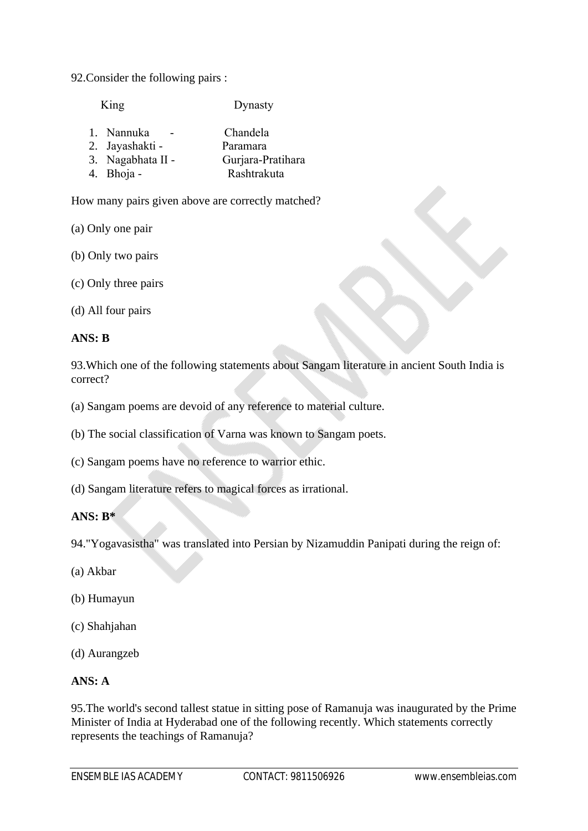92.Consider the following pairs :

King Dynasty

| 1. Nannuka        | Chandela          |
|-------------------|-------------------|
| 2. Jayashakti -   | Paramara          |
| 3. Nagabhata II - | Gurjara-Pratihara |
| 4. Bhoja -        | Rashtrakuta       |

How many pairs given above are correctly matched?

(a) Only one pair

(b) Only two pairs

(c) Only three pairs

(d) All four pairs

## **ANS: B**

93.Which one of the following statements about Sangam literature in ancient South India is correct?

(a) Sangam poems are devoid of any reference to material culture.

(b) The social classification of Varna was known to Sangam poets.

(c) Sangam poems have no reference to warrior ethic.

(d) Sangam literature refers to magical forces as irrational.

## **ANS: B\***

94."Yogavasistha" was translated into Persian by Nizamuddin Panipati during the reign of:

- (a) Akbar
- (b) Humayun
- (c) Shahjahan
- (d) Aurangzeb

## **ANS: A**

95.The world's second tallest statue in sitting pose of Ramanuja was inaugurated by the Prime Minister of India at Hyderabad one of the following recently. Which statements correctly represents the teachings of Ramanuja?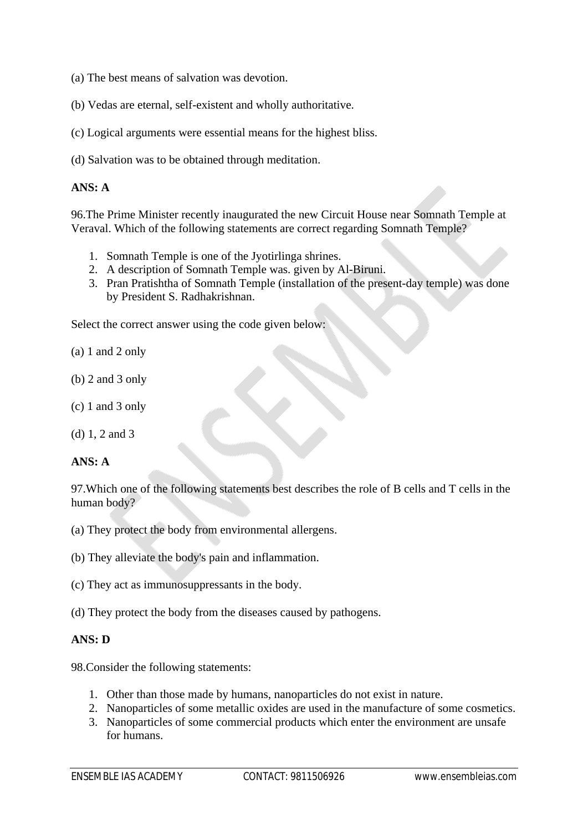- (a) The best means of salvation was devotion.
- (b) Vedas are eternal, self-existent and wholly authoritative.
- (c) Logical arguments were essential means for the highest bliss.
- (d) Salvation was to be obtained through meditation.

## **ANS: A**

96.The Prime Minister recently inaugurated the new Circuit House near Somnath Temple at Veraval. Which of the following statements are correct regarding Somnath Temple?

- 1. Somnath Temple is one of the Jyotirlinga shrines.
- 2. A description of Somnath Temple was. given by Al-Biruni.
- 3. Pran Pratishtha of Somnath Temple (installation of the present-day temple) was done by President S. Radhakrishnan.

Select the correct answer using the code given below:

- (a) 1 and 2 only
- (b) 2 and 3 only
- (c) 1 and 3 only
- (d) 1, 2 and 3

## **ANS: A**

97.Which one of the following statements best describes the role of B cells and T cells in the human body?

- (a) They protect the body from environmental allergens.
- (b) They alleviate the body's pain and inflammation.
- (c) They act as immunosuppressants in the body.
- (d) They protect the body from the diseases caused by pathogens.

## **ANS: D**

98.Consider the following statements:

- 1. Other than those made by humans, nanoparticles do not exist in nature.
- 2. Nanoparticles of some metallic oxides are used in the manufacture of some cosmetics.
- 3. Nanoparticles of some commercial products which enter the environment are unsafe for humans.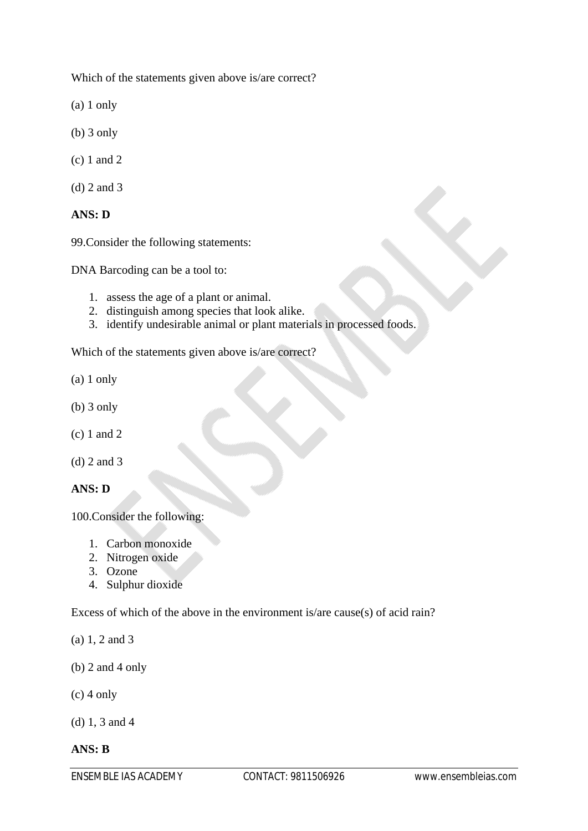Which of the statements given above is/are correct?

(a) 1 only

- (b) 3 only
- (c) 1 and 2

(d) 2 and 3

## **ANS: D**

99.Consider the following statements:

DNA Barcoding can be a tool to:

- 1. assess the age of a plant or animal.
- 2. distinguish among species that look alike.
- 3. identify undesirable animal or plant materials in processed foods.

Which of the statements given above is/are correct?

- (a) 1 only
- (b) 3 only
- (c) 1 and 2
- (d) 2 and 3

#### **ANS: D**

100.Consider the following:

- 1. Carbon monoxide
- 2. Nitrogen oxide
- 3. Ozone
- 4. Sulphur dioxide

Excess of which of the above in the environment is/are cause(s) of acid rain?

(a) 1, 2 and 3

- (b) 2 and 4 only
- (c) 4 only

(d) 1, 3 and 4

#### **ANS: B**

ENSEMBLE IAS ACADEMY CONTACT: 9811506926 www.ensembleias.com